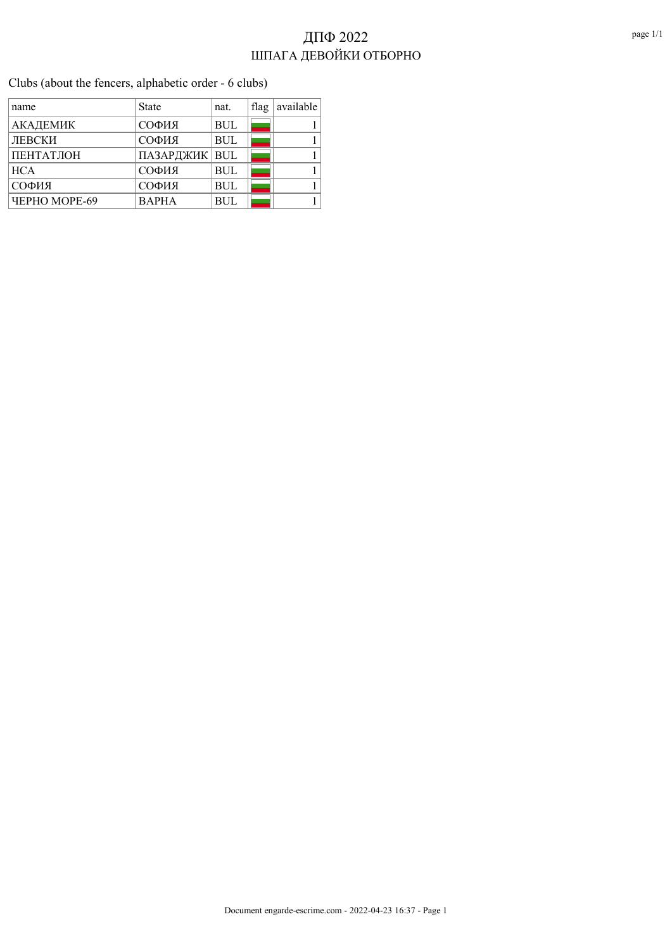Clubs (about the fencers, alphabetic order - 6 clubs)

| name                        | State           | nat.       | flag | available |
|-----------------------------|-----------------|------------|------|-----------|
| АКАДЕМИК                    | СОФИЯ           | <b>BUL</b> |      |           |
| ЛЕВСКИ                      | СОФИЯ           | <b>BUL</b> |      |           |
| ПЕНТАТЛОН                   | ПАЗАРДЖИК   BUL |            |      |           |
| <b>HCA</b>                  | СОФИЯ           | <b>BUL</b> |      |           |
| СОФИЯ                       | СОФИЯ           | <b>BUL</b> |      |           |
| <b><i>HEPHO MOPE-69</i></b> | <b>BAPHA</b>    | <b>BUL</b> |      |           |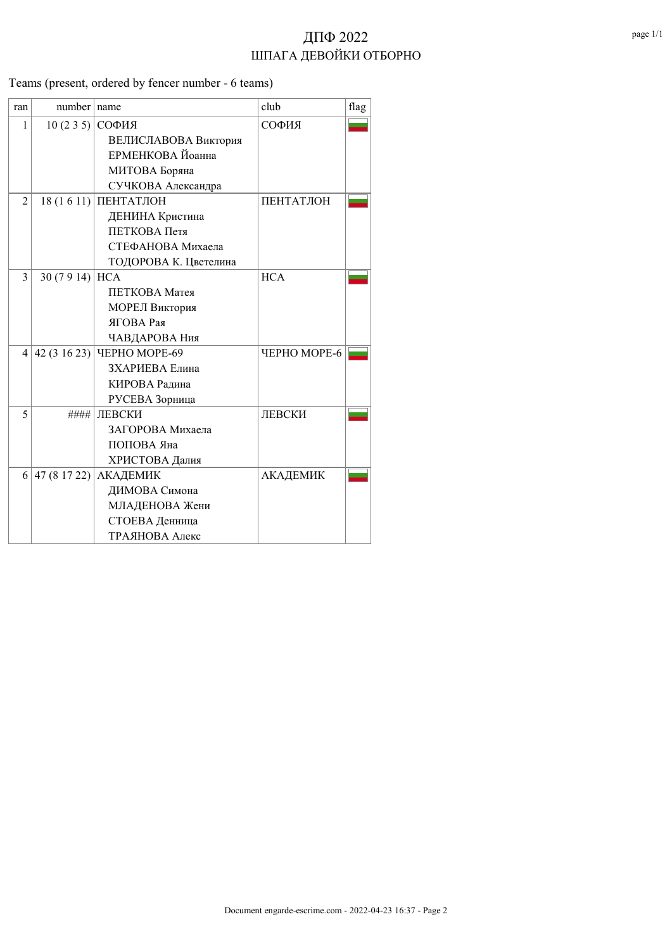Teams (present, ordered by fencer number - 6 teams)

| ran            | number name     |                       | club         | flag |
|----------------|-----------------|-----------------------|--------------|------|
| 1              | 10(235)         | СОФИЯ                 | СОФИЯ        |      |
|                |                 | ВЕЛИСЛАВОВА Виктория  |              |      |
|                |                 | ЕРМЕНКОВА Йоанна      |              |      |
|                |                 | МИТОВА Боряна         |              |      |
|                |                 | СУЧКОВА Александра    |              |      |
| $\overline{2}$ |                 | 18 (1 6 11) ПЕНТАТЛОН | ПЕНТАТЛОН    |      |
|                |                 | ДЕНИНА Кристина       |              |      |
|                |                 | ПЕТКОВА Петя          |              |      |
|                |                 | СТЕФАНОВА Михаела     |              |      |
|                |                 | ТОДОРОВА К. Цветелина |              |      |
| 3              | 30 (7 9 14) HCA |                       | <b>HCA</b>   |      |
|                |                 | ПЕТКОВА Матея         |              |      |
|                |                 | МОРЕЛ Виктория        |              |      |
|                |                 | <b>ЯГОВА</b> Рая      |              |      |
|                |                 | ЧАВДАРОВА Ния         |              |      |
| 4              | 42 (3 16 23)    | ЧЕРНО МОРЕ-69         | ЧЕРНО МОРЕ-6 |      |
|                |                 | ЗХАРИЕВА Елина        |              |      |
|                |                 | КИРОВА Радина         |              |      |
|                |                 | РУСЕВА Зорница        |              |      |
| 5              | ####            | ЛЕВСКИ                | ЛЕВСКИ       |      |
|                |                 | ЗАГОРОВА Михаела      |              |      |
|                |                 | ПОПОВА Яна            |              |      |
|                |                 | ХРИСТОВА Далия        |              |      |
| 6              | 47 (8 17 22)    | АКАДЕМИК              | АКАДЕМИК     |      |
|                |                 | ДИМОВА Симона         |              |      |
|                |                 | МЛАДЕНОВА Жени        |              |      |
|                |                 | СТОЕВА Денница        |              |      |
|                |                 | ТРАЯНОВА Алекс        |              |      |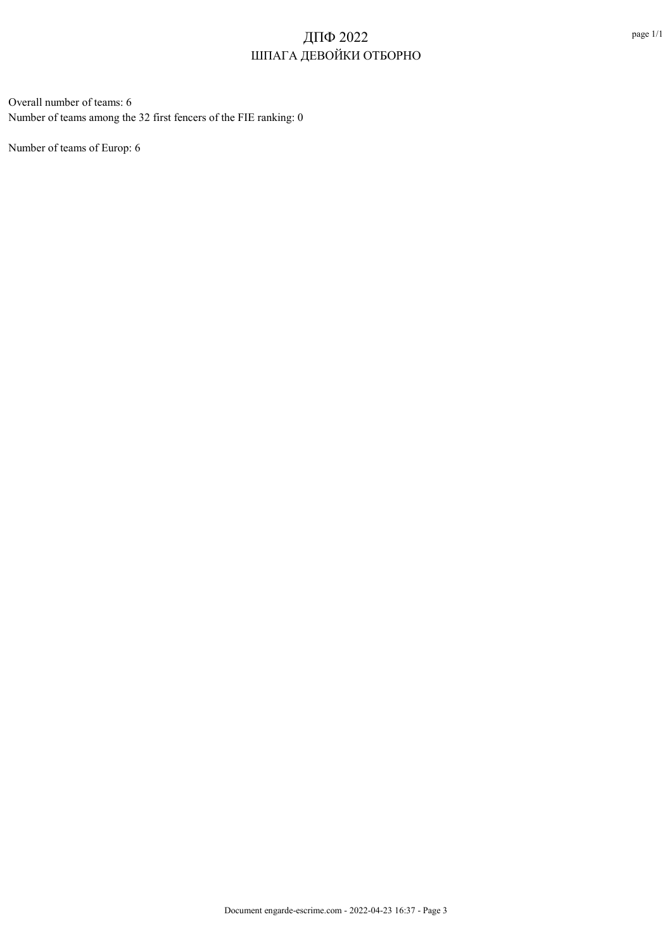Overall number of teams: 6 Number of teams among the 32 first fencers of the FIE ranking: 0

Number of teams of Europ: 6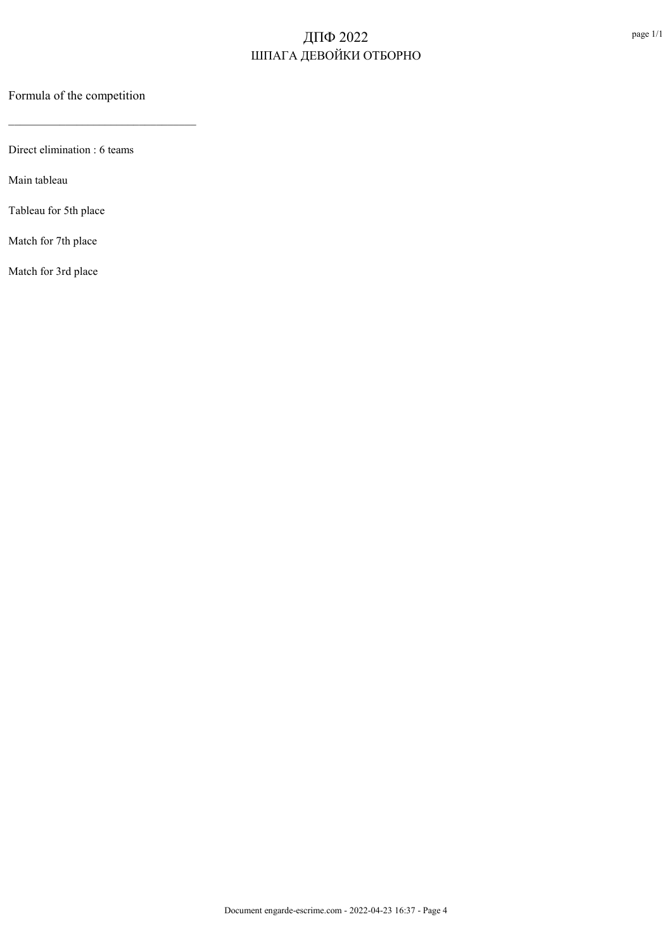Formula of the competition

 $\mathcal{L}_\text{max}$  and  $\mathcal{L}_\text{max}$  and  $\mathcal{L}_\text{max}$  and  $\mathcal{L}_\text{max}$ 

Direct elimination : 6 teams

Main tableau

Tableau for 5th place

Match for 7th place

Match for 3rd place